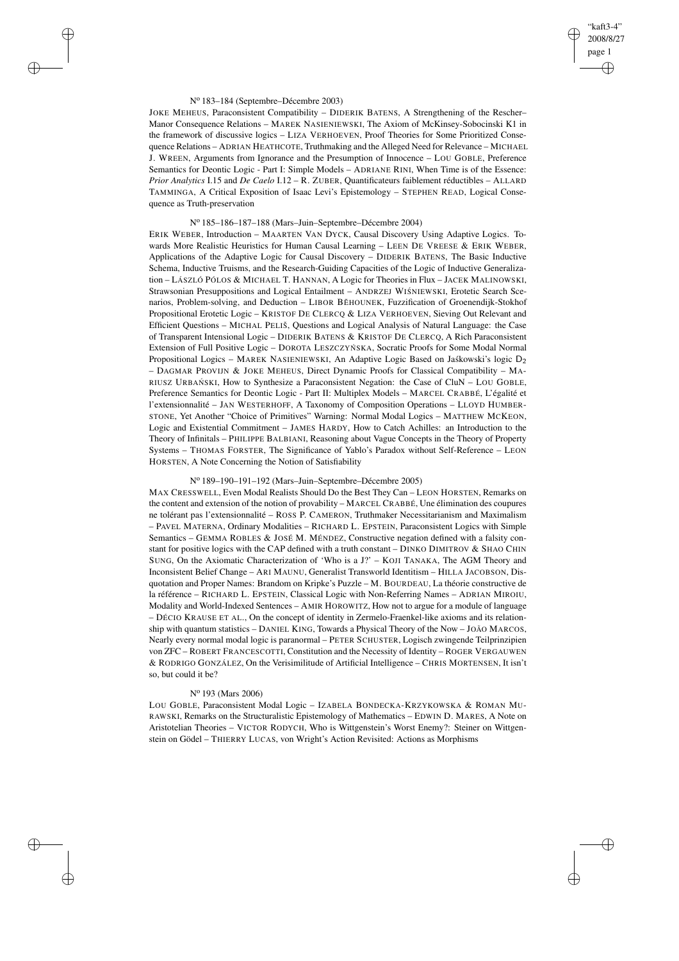# "kaft3-4" 2008/8/27 page 1 ✐ ✐

✐

✐

## N<sup>o</sup> 183–184 (Septembre–Décembre 2003)

 $\rightarrow$ 

 $\rightarrow$ 

✐

✐

JOKE MEHEUS, Paraconsistent Compatibility – DIDERIK BATENS, A Strengthening of the Rescher– Manor Consequence Relations – MAREK NASIENIEWSKI, The Axiom of McKinsey-Sobocinski K1 in the framework of discussive logics – LIZA VERHOEVEN, Proof Theories for Some Prioritized Consequence Relations – ADRIAN HEATHCOTE, Truthmaking and the Alleged Need for Relevance – MICHAEL J. WREEN, Arguments from Ignorance and the Presumption of Innocence – LOU GOBLE, Preference Semantics for Deontic Logic - Part I: Simple Models – ADRIANE RINI, When Time is of the Essence: *Prior Analytics* I.15 and *De Caelo* I.12 – R. ZUBER, Quantificateurs faiblement réductibles – ALLARD TAMMINGA, A Critical Exposition of Isaac Levi's Epistemology – STEPHEN READ, Logical Consequence as Truth-preservation

## N<sup>o</sup> 185–186–187–188 (Mars–Juin–Septembre–Décembre 2004)

ERIK WEBER, Introduction – MAARTEN VAN DYCK, Causal Discovery Using Adaptive Logics. Towards More Realistic Heuristics for Human Causal Learning – LEEN DE VREESE & ERIK WEBER, Applications of the Adaptive Logic for Causal Discovery – DIDERIK BATENS, The Basic Inductive Schema, Inductive Truisms, and the Research-Guiding Capacities of the Logic of Inductive Generalization – LÁSZLÓ PÓLOS & MICHAEL T. HANNAN, A Logic for Theories in Flux – JACEK MALINOWSKI, Strawsonian Presuppositions and Logical Entailment - ANDRZEJ WISNIEWSKI, Erotetic Search Scenarios, Problem-solving, and Deduction - LIBOR BĚHOUNEK, Fuzzification of Groenendijk-Stokhof Propositional Erotetic Logic – KRISTOF DE CLERCQ & LIZA VERHOEVEN, Sieving Out Relevant and Efficient Questions – MICHAL PELIŠ, Questions and Logical Analysis of Natural Language: the Case of Transparent Intensional Logic – DIDERIK BATENS & KRISTOF DE CLERCQ, A Rich Paraconsistent Extension of Full Positive Logic - DOROTA LESZCZYŃSKA, Socratic Proofs for Some Modal Normal Propositional Logics – MAREK NASIENIEWSKI, An Adaptive Logic Based on Jaskowski's logic D<sub>2</sub> – DAGMAR PROVIJN & JOKE MEHEUS, Direct Dynamic Proofs for Classical Compatibility – MA-RIUSZ URBAŃ SKI, How to Synthesize a Paraconsistent Negation: the Case of CluN – LOU GOBLE, Preference Semantics for Deontic Logic - Part II: Multiplex Models – MARCEL CRABBÉ, L'égalité et l'extensionnalité – JAN WESTERHOFF, A Taxonomy of Composition Operations – LLOYD HUMBER-STONE, Yet Another "Choice of Primitives" Warning: Normal Modal Logics – MATTHEW MCKEON, Logic and Existential Commitment – JAMES HARDY, How to Catch Achilles: an Introduction to the Theory of Infinitals – PHILIPPE BALBIANI, Reasoning about Vague Concepts in the Theory of Property Systems – THOMAS FORSTER, The Significance of Yablo's Paradox without Self-Reference – LEON HORSTEN, A Note Concerning the Notion of Satisfiability

# N<sup>o</sup> 189–190–191–192 (Mars–Juin–Septembre–Décembre 2005)

MAX CRESSWELL, Even Modal Realists Should Do the Best They Can – LEON HORSTEN, Remarks on the content and extension of the notion of provability – MARCEL CRABBÉ, Une élimination des coupures ne tolérant pas l'extensionnalité – ROSS P. CAMERON, Truthmaker Necessitarianism and Maximalism – PAVEL MATERNA, Ordinary Modalities – RICHARD L. EPSTEIN, Paraconsistent Logics with Simple Semantics – GEMMA ROBLES & JOSÉ M. MÉNDEZ, Constructive negation defined with a falsity constant for positive logics with the CAP defined with a truth constant - DINKO DIMITROV & SHAO CHIN SUNG, On the Axiomatic Characterization of 'Who is a J?' – KOJI TANAKA, The AGM Theory and Inconsistent Belief Change – ARI MAUNU, Generalist Transworld Identitism – HILLA JACOBSON, Disquotation and Proper Names: Brandom on Kripke's Puzzle – M. BOURDEAU, La théorie constructive de la référence – RICHARD L. EPSTEIN, Classical Logic with Non-Referring Names – ADRIAN MIROIU, Modality and World-Indexed Sentences – AMIR HOROWITZ, How not to argue for a module of language – DÉCIO KRAUSE ET AL., On the concept of identity in Zermelo-Fraenkel-like axioms and its relationship with quantum statistics – DANIEL KING, Towards a Physical Theory of the Now – JOÃO MARCOS, Nearly every normal modal logic is paranormal – PETER SCHUSTER, Logisch zwingende Teilprinzipien von ZFC – ROBERT FRANCESCOTTI, Constitution and the Necessity of Identity – ROGER VERGAUWEN & RODRIGO GONZÁLEZ, On the Verisimilitude of Artificial Intelligence – CHRIS MORTENSEN, It isn't so, but could it be?

## N<sup>o</sup> 193 (Mars 2006)

LOU GOBLE, Paraconsistent Modal Logic – IZABELA BONDECKA-KRZYKOWSKA & ROMAN MU-RAWSKI, Remarks on the Structuralistic Epistemology of Mathematics – EDWIN D. MARES, A Note on Aristotelian Theories – VICTOR RODYCH, Who is Wittgenstein's Worst Enemy?: Steiner on Wittgenstein on Gödel – THIERRY LUCAS, von Wright's Action Revisited: Actions as Morphisms